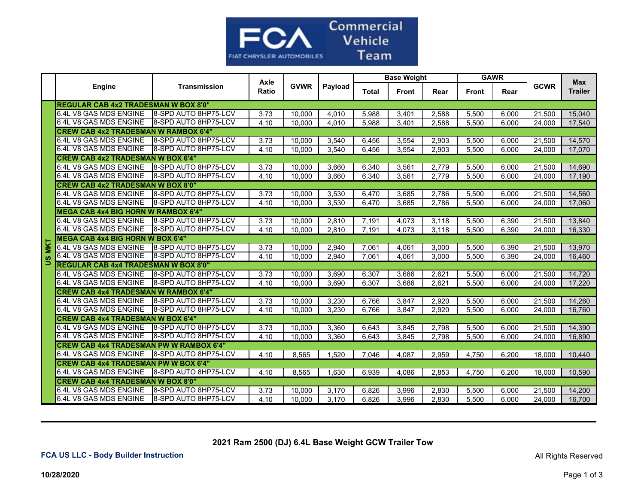

|            |                                                | Axle<br><b>Engine</b><br><b>Transmission</b><br>Ratio |             |         |              | <b>Base Weight</b> |       |              | <b>GAWR</b> |             |                              |        |
|------------|------------------------------------------------|-------------------------------------------------------|-------------|---------|--------------|--------------------|-------|--------------|-------------|-------------|------------------------------|--------|
|            |                                                |                                                       | <b>GVWR</b> | Payload | <b>Total</b> | <b>Front</b>       | Rear  | <b>Front</b> | Rear        | <b>GCWR</b> | <b>Max</b><br><b>Trailer</b> |        |
|            | <b>REGULAR CAB 4x2 TRADESMAN W BOX 8'0"</b>    |                                                       |             |         |              |                    |       |              |             |             |                              |        |
|            | 6.4L V8 GAS MDS ENGINE                         | 8-SPD AUTO 8HP75-LCV                                  | 3.73        | 10.000  | 4,010        | 5.988              | 3,401 | 2,588        | 5,500       | 6.000       | 21,500                       | 15,040 |
|            | 6.4L V8 GAS MDS ENGINE                         | <b>8-SPD AUTO 8HP75-LCV</b>                           | 4.10        | 10.000  | 4.010        | 5,988              | 3,401 | 2,588        | 5,500       | 6.000       | 24,000                       | 17,540 |
|            | <b>CREW CAB 4x2 TRADESMAN W RAMBOX 6'4"</b>    |                                                       |             |         |              |                    |       |              |             |             |                              |        |
|            | 6.4L V8 GAS MDS ENGINE                         | 8-SPD AUTO 8HP75-LCV                                  | 3.73        | 10,000  | 3,540        | 6,456              | 3,554 | 2,903        | 5,500       | 6,000       | 21,500                       | 14,570 |
|            | 6.4L V8 GAS MDS ENGINE                         | 8-SPD AUTO 8HP75-LCV                                  | 4.10        | 10.000  | 3,540        | 6,456              | 3,554 | 2,903        | 5.500       | 6,000       | 24.000                       | 17,070 |
|            | <b>CREW CAB 4x2 TRADESMAN W BOX 6'4"</b>       |                                                       |             |         |              |                    |       |              |             |             |                              |        |
|            | 6.4L V8 GAS MDS ENGINE                         | 8-SPD AUTO 8HP75-LCV                                  | 3.73        | 10.000  | 3,660        | 6.340              | 3.561 | 2.779        | 5,500       | 6.000       | 21,500                       | 14,690 |
|            | 6.4L V8 GAS MDS ENGINE                         | 8-SPD AUTO 8HP75-LCV                                  | 4.10        | 10,000  | 3,660        | 6,340              | 3,561 | 2,779        | 5,500       | 6,000       | 24,000                       | 17,190 |
|            | <b>CREW CAB 4x2 TRADESMAN W BOX 8'0"</b>       |                                                       |             |         |              |                    |       |              |             |             |                              |        |
|            | 6.4L V8 GAS MDS ENGINE                         | 8-SPD AUTO 8HP75-LCV                                  | 3.73        | 10,000  | 3,530        | 6,470              | 3,685 | 2,786        | 5,500       | 6.000       | 21,500                       | 14,560 |
|            | 6.4L V8 GAS MDS ENGINE                         | 8-SPD AUTO 8HP75-LCV                                  | 4.10        | 10,000  | 3,530        | 6,470              | 3,685 | 2,786        | 5,500       | 6.000       | 24.000                       | 17,060 |
|            | <b>MEGA CAB 4x4 BIG HORN W RAMBOX 6'4"</b>     |                                                       |             |         |              |                    |       |              |             |             |                              |        |
|            | 6.4L V8 GAS MDS ENGINE                         | 8-SPD AUTO 8HP75-LCV                                  | 3.73        | 10.000  | 2.810        | 7,191              | 4,073 | 3.118        | 5.500       | 6.390       | 21.500                       | 13,840 |
|            | 6.4L V8 GAS MDS ENGINE                         | 8-SPD AUTO 8HP75-LCV                                  | 4.10        | 10,000  | 2,810        | 7,191              | 4,073 | 3,118        | 5,500       | 6,390       | 24,000                       | 16,330 |
|            | <b>MEGA CAB 4x4 BIG HORN W BOX 6'4"</b>        |                                                       |             |         |              |                    |       |              |             |             |                              |        |
| <b>MKT</b> | 6.4L V8 GAS MDS ENGINE                         | 8-SPD AUTO 8HP75-LCV                                  | 3.73        | 10,000  | 2,940        | 7,061              | 4,061 | 3,000        | 5,500       | 6,390       | 21,500                       | 13,970 |
| <u>ဖ</u>   | 6.4L V8 GAS MDS ENGINE                         | 8-SPD AUTO 8HP75-LCV                                  | 4.10        | 10,000  | 2,940        | 7,061              | 4,061 | 3,000        | 5,500       | 6,390       | 24,000                       | 16,460 |
|            | <b>REGULAR CAB 4x4 TRADESMAN W BOX 8'0"</b>    |                                                       |             |         |              |                    |       |              |             |             |                              |        |
|            | 6.4L V8 GAS MDS ENGINE                         | <b>8-SPD AUTO 8HP75-LCV</b>                           | 3.73        | 10,000  | 3,690        | 6.307              | 3,686 | 2,621        | 5,500       | 6.000       | 21,500                       | 14,720 |
|            | 6.4L V8 GAS MDS ENGINE                         | 8-SPD AUTO 8HP75-LCV                                  | 4.10        | 10,000  | 3,690        | 6,307              | 3,686 | 2,621        | 5,500       | 6,000       | 24,000                       | 17,220 |
|            | <b>CREW CAB 4x4 TRADESMAN W RAMBOX 6'4"</b>    |                                                       |             |         |              |                    |       |              |             |             |                              |        |
|            | 6.4L V8 GAS MDS ENGINE                         | <b>8-SPD AUTO 8HP75-LCV</b>                           | 3.73        | 10,000  | 3,230        | 6,766              | 3,847 | 2,920        | 5,500       | 6,000       | 21,500                       | 14,260 |
|            | 6.4L V8 GAS MDS ENGINE                         | 8-SPD AUTO 8HP75-LCV                                  | 4.10        | 10,000  | 3,230        | 6,766              | 3,847 | 2,920        | 5,500       | 6,000       | 24,000                       | 16,760 |
|            | <b>CREW CAB 4x4 TRADESMAN W BOX 6'4"</b>       |                                                       |             |         |              |                    |       |              |             |             |                              |        |
|            | 6.4L V8 GAS MDS ENGINE                         | <b>8-SPD AUTO 8HP75-LCV</b>                           | 3.73        | 10,000  | 3,360        | 6,643              | 3,845 | 2,798        | 5,500       | 6,000       | 21,500                       | 14,390 |
|            | 6.4L V8 GAS MDS ENGINE                         | 8-SPD AUTO 8HP75-LCV                                  | 4.10        | 10,000  | 3,360        | 6,643              | 3,845 | 2,798        | 5,500       | 6,000       | 24,000                       | 16,890 |
|            | <b>CREW CAB 4x4 TRADESMAN PW W RAMBOX 6'4"</b> |                                                       |             |         |              |                    |       |              |             |             |                              |        |
|            | 6.4L V8 GAS MDS ENGINE 8-SPD AUTO 8HP75-LCV    |                                                       | 4.10        | 8,565   | 1,520        | 7,046              | 4,087 | 2,959        | 4,750       | 6,200       | 18,000                       | 10,440 |
|            | <b>CREW CAB 4x4 TRADESMAN PW W BOX 6'4"</b>    |                                                       |             |         |              |                    |       |              |             |             |                              |        |
|            | 6.4L V8 GAS MDS ENGINE 8-SPD AUTO 8HP75-LCV    |                                                       | 4.10        | 8,565   | 1,630        | 6,939              | 4,086 | 2,853        | 4,750       | 6,200       | 18,000                       | 10,590 |
|            | <b>CREW CAB 4x4 TRADESMAN W BOX 8'0"</b>       |                                                       |             |         |              |                    |       |              |             |             |                              |        |
|            | 6.4L V8 GAS MDS ENGINE                         | 8-SPD AUTO 8HP75-LCV                                  | 3.73        | 10,000  | 3,170        | 6,826              | 3,996 | 2,830        | 5,500       | 6,000       | 21,500                       | 14,200 |
|            | 6.4L V8 GAS MDS ENGINE                         | <b>8-SPD AUTO 8HP75-LCV</b>                           | 4.10        | 10,000  | 3,170        | 6,826              | 3,996 | 2,830        | 5,500       | 6,000       | 24,000                       | 16,700 |

 **2021 Ram 2500 (DJ) 6.4L Base Weight GCW Trailer Tow**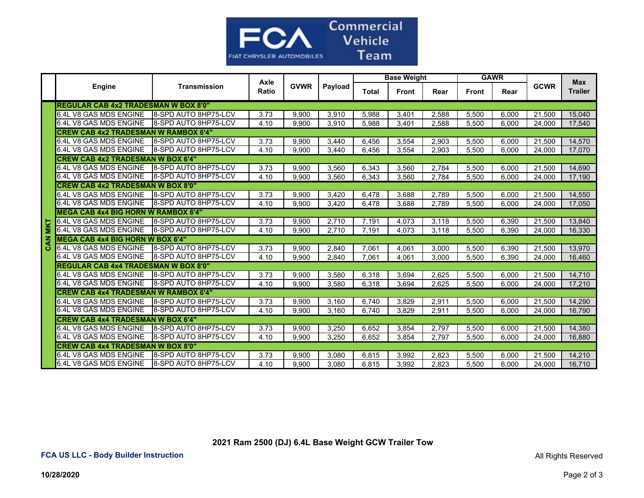

|             |                                             |                             |               |             | Payload | <b>Base Weight</b> |              |       | <b>GAWR</b>  |       |             |                       |  |
|-------------|---------------------------------------------|-----------------------------|---------------|-------------|---------|--------------------|--------------|-------|--------------|-------|-------------|-----------------------|--|
|             | Engine                                      | <b>Transmission</b>         | Axle<br>Ratio | <b>GVWR</b> |         | <b>Total</b>       | <b>Front</b> | Rear  | <b>Front</b> | Rear  | <b>GCWR</b> | Max<br><b>Trailer</b> |  |
|             | <b>REGULAR CAB 4x2 TRADESMAN W BOX 8'0"</b> |                             |               |             |         |                    |              |       |              |       |             |                       |  |
|             | 6.4L V8 GAS MDS ENGINE                      | <b>8-SPD AUTO 8HP75-LCV</b> | 3.73          | 9,900       | 3,910   | 5.988              | 3,401        | 2,588 | 5.500        | 6,000 | 21,500      | 15.040                |  |
|             | 6.4L V8 GAS MDS ENGINE                      | <b>8-SPD AUTO 8HP75-LCV</b> | 4.10          | 9,900       | 3,910   | 5,988              | 3,401        | 2,588 | 5,500        | 6,000 | 24,000      | 17,540                |  |
|             | <b>CREW CAB 4x2 TRADESMAN W RAMBOX 6'4"</b> |                             |               |             |         |                    |              |       |              |       |             |                       |  |
|             | 6.4L V8 GAS MDS ENGINE                      | 8-SPD AUTO 8HP75-LCV        | 3.73          | 9,900       | 3,440   | 6,456              | 3,554        | 2,903 | 5,500        | 6,000 | 21,500      | 14,570                |  |
|             | 6.4L V8 GAS MDS ENGINE                      | 8-SPD AUTO 8HP75-LCV        | 4.10          | 9.900       | 3,440   | 6,456              | 3.554        | 2,903 | 5.500        | 6.000 | 24.000      | 17,070                |  |
|             | <b>CREW CAB 4x2 TRADESMAN W BOX 6'4"</b>    |                             |               |             |         |                    |              |       |              |       |             |                       |  |
|             | 6.4L V8 GAS MDS ENGINE                      | <b>8-SPD AUTO 8HP75-LCV</b> | 3.73          | 9,900       | 3,560   | 6,343              | 3,560        | 2,784 | 5,500        | 6,000 | 21,500      | 14,690                |  |
|             | 6.4L V8 GAS MDS ENGINE                      | 8-SPD AUTO 8HP75-LCV        | 4.10          | 9.900       | 3.560   | 6,343              | 3,560        | 2,784 | 5.500        | 6.000 | 24.000      | 17,190                |  |
|             | <b>CREW CAB 4x2 TRADESMAN W BOX 8'0"</b>    |                             |               |             |         |                    |              |       |              |       |             |                       |  |
|             | 6.4L V8 GAS MDS ENGINE                      | 8-SPD AUTO 8HP75-LCV        | 3.73          | 9.900       | 3.420   | 6.478              | 3,688        | 2.789 | 5.500        | 6.000 | 21.500      | 14.550                |  |
|             | 6.4L V8 GAS MDS ENGINE                      | 8-SPD AUTO 8HP75-LCV        | 4.10          | 9,900       | 3,420   | 6,478              | 3,688        | 2,789 | 5,500        | 6.000 | 24,000      | 17,050                |  |
|             | <b>MEGA CAB 4x4 BIG HORN W RAMBOX 6'4"</b>  |                             |               |             |         |                    |              |       |              |       |             |                       |  |
|             | 6.4L V8 GAS MDS ENGINE                      | <b>8-SPD AUTO 8HP75-LCV</b> | 3.73          | 9,900       | 2,710   | 7.191              | 4,073        | 3,118 | 5,500        | 6,390 | 21,500      | 13,840                |  |
| <b>MIKT</b> | 6.4L V8 GAS MDS ENGINE                      | <b>8-SPD AUTO 8HP75-LCV</b> | 4.10          | 9,900       | 2,710   | 7,191              | 4,073        | 3,118 | 5,500        | 6,390 | 24,000      | 16,330                |  |
| CAN         | <b>MEGA CAB 4x4 BIG HORN W BOX 6'4"</b>     |                             |               |             |         |                    |              |       |              |       |             |                       |  |
|             | 6.4L V8 GAS MDS ENGINE                      | 8-SPD AUTO 8HP75-LCV        | 3.73          | 9.900       | 2.840   | 7.061              | 4,061        | 3.000 | 5.500        | 6.390 | 21.500      | 13.970                |  |
|             | 6.4L V8 GAS MDS ENGINE                      | <b>8-SPD AUTO 8HP75-LCV</b> | 4.10          | 9.900       | 2.840   | 7.061              | 4,061        | 3.000 | 5.500        | 6,390 | 24.000      | 16,460                |  |
|             | <b>REGULAR CAB 4x4 TRADESMAN W BOX 8'0"</b> |                             |               |             |         |                    |              |       |              |       |             |                       |  |
|             | 6.4L V8 GAS MDS ENGINE                      | <b>8-SPD AUTO 8HP75-LCV</b> | 3.73          | 9,900       | 3,580   | 6,318              | 3,694        | 2,625 | 5,500        | 6,000 | 21,500      | 14,710                |  |
|             | 6.4L V8 GAS MDS ENGINE                      | 8-SPD AUTO 8HP75-LCV        | 4.10          | 9,900       | 3,580   | 6,318              | 3,694        | 2,625 | 5,500        | 6,000 | 24,000      | 17,210                |  |
|             | <b>CREW CAB 4x4 TRADESMAN W RAMBOX 6'4"</b> |                             |               |             |         |                    |              |       |              |       |             |                       |  |
|             | 6.4L V8 GAS MDS ENGINE                      | <b>8-SPD AUTO 8HP75-LCV</b> | 3.73          | 9,900       | 3,160   | 6,740              | 3,829        | 2,911 | 5,500        | 6,000 | 21,500      | 14,290                |  |
|             | 6.4L V8 GAS MDS ENGINE                      | 8-SPD AUTO 8HP75-LCV        | 4.10          | 9,900       | 3,160   | 6,740              | 3,829        | 2,911 | 5.500        | 6,000 | 24,000      | 16,790                |  |
|             | <b>CREW CAB 4x4 TRADESMAN W BOX 6'4"</b>    |                             |               |             |         |                    |              |       |              |       |             |                       |  |
|             | 6.4L V8 GAS MDS ENGINE                      | 8-SPD AUTO 8HP75-LCV        | 3.73          | 9,900       | 3,250   | 6.652              | 3,854        | 2,797 | 5,500        | 6.000 | 21.500      | 14,380                |  |
|             | 6.4L V8 GAS MDS ENGINE                      | 8-SPD AUTO 8HP75-LCV        | 4.10          | 9.900       | 3.250   | 6.652              | 3.854        | 2.797 | 5.500        | 6.000 | 24.000      | 16,880                |  |
|             | <b>CREW CAB 4x4 TRADESMAN W BOX 8'0"</b>    |                             |               |             |         |                    |              |       |              |       |             |                       |  |
|             | 6.4L V8 GAS MDS ENGINE                      | <b>8-SPD AUTO 8HP75-LCV</b> | 3.73          | 9,900       | 3,080   | 6,815              | 3,992        | 2,823 | 5,500        | 6,000 | 21,500      | 14,210                |  |
|             | 6.4L V8 GAS MDS ENGINE                      | 8-SPD AUTO 8HP75-LCV        | 4.10          | 9,900       | 3,080   | 6,815              | 3,992        | 2,823 | 5,500        | 6.000 | 24,000      | 16,710                |  |